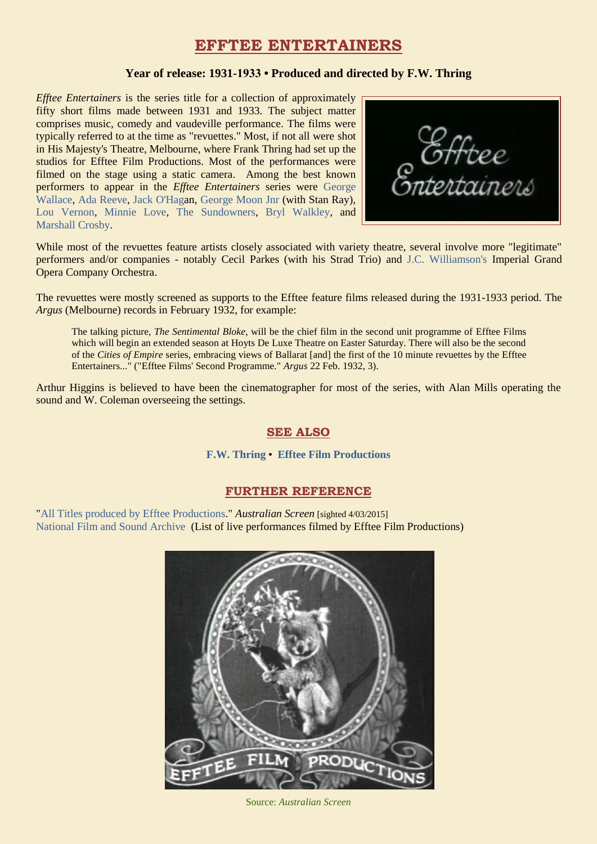# **EFFTEE ENTERTAINERS**

#### **Year of release: 1931-1933 • Produced and directed by F.W. Thring**

*Efftee Entertainers* is the series title for a collection of approximately fifty short films made between 1931 and 1933. The subject matter comprises music, comedy and vaudeville performance. The films were typically referred to at the time as "revuettes." Most, if not all were shot in His Majesty's Theatre, Melbourne, where Frank Thring had set up the studios for Efftee Film Productions. Most of the performances were filmed on the stage using a static camera. Among the best known performers to appear in the *Efftee Entertainers* series were [George](https://ozvta.com/practitioners-w/)  [Wallace,](https://ozvta.com/practitioners-w/) [Ada Reeve,](https://ozvta.com/practitioners-r/) [Jack O'Haga](http://ozvta.com/music-directors-composers-variety/)n, [George Moon Jnr](http://ozvta.com/practitioners-m/) (with Stan Ray), [Lou Vernon,](http://ozvta.com/practitioners-u-v/) [Minnie Love,](http://ozvta.com/practitioners-other-a-l/) [The Sundowners,](http://ozvta.com/practitioners-s/) [Bryl Walkley,](http://ozvta.com/practitioners-other-m-z/) and [Marshall Crosby.](https://ozvta.com/practitioners-c/)

While most of the revuettes feature artists closely associated with variety theatre, several involve more "legitimate" performers and/or companies - notably Cecil Parkes (with his Strad Trio) and [J.C. Williamson's](https://ozvta.com/organisations-a-l/) Imperial Grand Opera Company Orchestra.

The revuettes were mostly screened as supports to the Efftee feature films released during the 1931-1933 period. The *Argus* (Melbourne) records in February 1932, for example:

The talking picture, *The Sentimental Bloke*, will be the chief film in the second unit programme of Efftee Films which will begin an extended season at Hoyts De Luxe Theatre on Easter Saturday. There will also be the second of the *Cities of Empire* series, embracing views of Ballarat [and] the first of the 10 minute revuettes by the Efftee Entertainers..." ("Efftee Films' Second Programme." *Argus* 22 Feb. 1932, 3).

Arthur Higgins is believed to have been the cinematographer for most of the series, with Alan Mills operating the sound and W. Coleman overseeing the settings.

## **SEE ALSO**

#### **[F.W. Thring](https://ozvta.com/entrepreneurs-s-z/)** • **[Efftee Film Productions](https://ozvta.com/organisations-a-l/)**

## **FURTHER REFERENCE**

["All Titles produced by Efftee Productions.](http://aso.gov.au/titles/companies/Efftee+Film+Productions/)" *Australian Screen* [sighted 4/03/2015] [National Film and Sound Archive](http://colsearch.nfsa.gov.au/nfsa/search/summary/summary.w3p;adv=no;group=;groupequals=;page=0;parentid=;query=Organisation%3A%22%2FOrganisation%2Fkey%2F3475-1%22%20Class%3A%22Live%20performance%20%28includes%20concert%29%22;querytype=Class%3ALive%20perfor) (List of live performances filmed by Efftee Film Productions)



Source: *Australian Screen*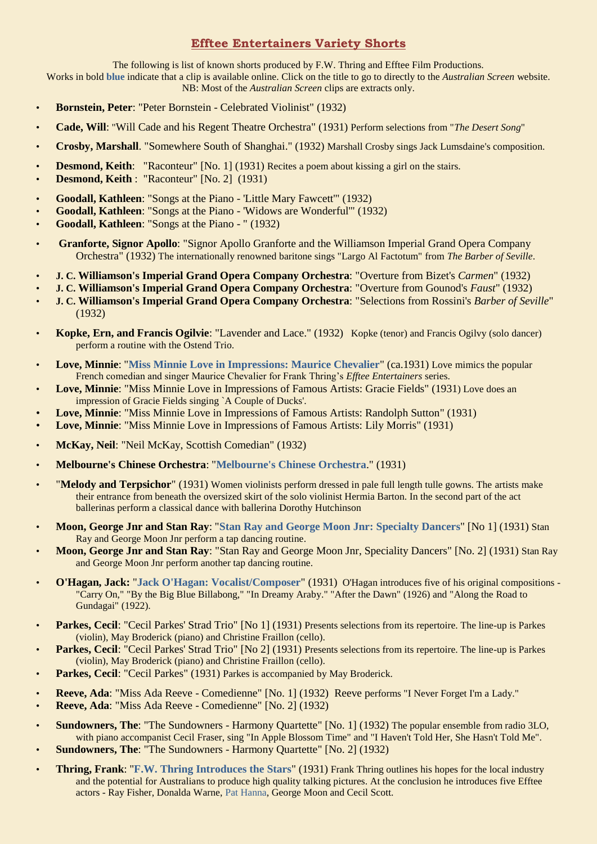# **Efftee Entertainers Variety Shorts**

The following is list of known shorts produced by F.W. Thring and Efftee Film Productions.

Works in bold **blue** indicate that a clip is available online. Click on the title to go to directly to the *Australian Screen* website. NB: Most of the *Australian Screen* clips are extracts only.

- **Bornstein, Peter**: "Peter Bornstein Celebrated Violinist" (1932)
- **Cade, Will**: "Will Cade and his Regent Theatre Orchestra" (1931) Perform selections from "*The Desert Song*"
- **Crosby, Marshall**. "Somewhere South of Shanghai." (1932) Marshall Crosby sings Jack Lumsdaine's composition.
- **Desmond, Keith:** "Raconteur" [No. 1] (1931) Recites a poem about kissing a girl on the stairs.
- **Desmond, Keith** : "Raconteur" [No. 2] (1931)
- **Goodall, Kathleen**: "Songs at the Piano 'Little Mary Fawcett'" (1932)
- **Goodall, Kathleen**: "Songs at the Piano 'Widows are Wonderful'" (1932)
- **Goodall, Kathleen**: "Songs at the Piano " (1932)
- **Granforte, Signor Apollo**: "Signor Apollo Granforte and the Williamson Imperial Grand Opera Company Orchestra" (1932) The internationally renowned baritone sings "Largo Al Factotum" from *The Barber of Seville*.
- **J. C. Williamson's Imperial Grand Opera Company Orchestra**: "Overture from Bizet's *Carmen*" (1932)
- **J. C. Williamson's Imperial Grand Opera Company Orchestra**: "Overture from Gounod's *Faust*" (1932)
- **J. C. Williamson's Imperial Grand Opera Company Orchestra**: "Selections from Rossini's *Barber of Seville*" (1932)
- **Kopke, Ern, and Francis Ogilvie**: "Lavender and Lace." (1932) Kopke (tenor) and Francis Ogilvy (solo dancer) perform a routine with the Ostend Trio.
- **Love, Minnie**: "**[Miss Minnie Love in Impressions: Maurice Chevalier](http://aso.gov.au/titles/historical/miss-minnie-love-impressions/)**" (ca.1931) Love mimics the popular French comedian and singer Maurice Chevalier for Frank Thring's *Efftee Entertainers* series.
- **Love, Minnie**: "Miss Minnie Love in Impressions of Famous Artists: Gracie Fields" (1931) Love does an impression of Gracie Fields singing `A Couple of Ducks'.
- **Love, Minnie**: "Miss Minnie Love in Impressions of Famous Artists: Randolph Sutton" (1931)
- **Love, Minnie**: "Miss Minnie Love in Impressions of Famous Artists: Lily Morris" (1931)
- **McKay, Neil**: "Neil McKay, Scottish Comedian" (1932)
- **Melbourne's Chinese Orchestra**: "**[Melbourne's Chinese Orchestra](http://aso.gov.au/titles/historical/melbourne-chinese-orchestra/)**." (1931)
- "**Melody and Terpsichor**" (1931) Women violinists perform dressed in pale full length tulle gowns. The artists make their entrance from beneath the oversized skirt of the solo violinist Hermia Barton. In the second part of the act ballerinas perform a classical dance with ballerina Dorothy Hutchinson
- **Moon, George Jnr and Stan Ray**: "**[Stan Ray and George Moon Jnr: Specialty Dancers](http://aso.gov.au/titles/historical/stan-ray-and-george-moon-jnr/)**" [No 1] (1931) Stan Ray and George Moon Jnr perform a tap dancing routine.
- **Moon, George Jnr and Stan Ray**: "Stan Ray and George Moon Jnr, Speciality Dancers" [No. 2] (1931) Stan Ray and George Moon Jnr perform another tap dancing routine.
- **O'Hagan, Jack:** "**[Jack O'Hagan: Vocalist/Composer](http://aso.gov.au/titles/historical/jack-o-hagan-vocalist-composer/)**" (1931) O'Hagan introduces five of his original compositions "Carry On," "By the Big Blue Billabong," "In Dreamy Araby." "After the Dawn" (1926) and "Along the Road to Gundagai" (1922).
- **Parkes, Cecil:** "Cecil Parkes' Strad Trio" [No 1] (1931) Presents selections from its repertoire. The line-up is Parkes (violin), May Broderick (piano) and Christine Fraillon (cello).
- **Parkes, Cecil:** "Cecil Parkes' Strad Trio" [No 2] (1931) Presents selections from its repertoire. The line-up is Parkes (violin), May Broderick (piano) and Christine Fraillon (cello).
- Parkes, Cecil: "Cecil Parkes" (1931) Parkes is accompanied by May Broderick.
- **Reeve, Ada**: "Miss Ada Reeve Comedienne" [No. 1] (1932) Reeve performs "I Never Forget I'm a Lady."
- **Reeve, Ada**: "Miss Ada Reeve Comedienne" [No. 2] (1932)
- **Sundowners, The**: "The Sundowners Harmony Quartette" [No. 1] (1932) The popular ensemble from radio 3LO, with piano accompanist Cecil Fraser, sing "In Apple Blossom Time" and "I Haven't Told Her, She Hasn't Told Me".
- **Sundowners, The**: "The Sundowners Harmony Quartette" [No. 2] (1932)
- **Thring, Frank**: "**[F.W. Thring Introduces the Stars](http://aso.gov.au/titles/ads/fw-thring-introduces-stars/clip1/)**" (1931) Frank Thring outlines his hopes for the local industry and the potential for Australians to produce high quality talking pictures. At the conclusion he introduces five Efftee actors - Ray Fisher, Donalda Warne, [Pat Hanna,](https://ozvta.com/entrepreneurs-g-l/) George Moon and Cecil Scott.